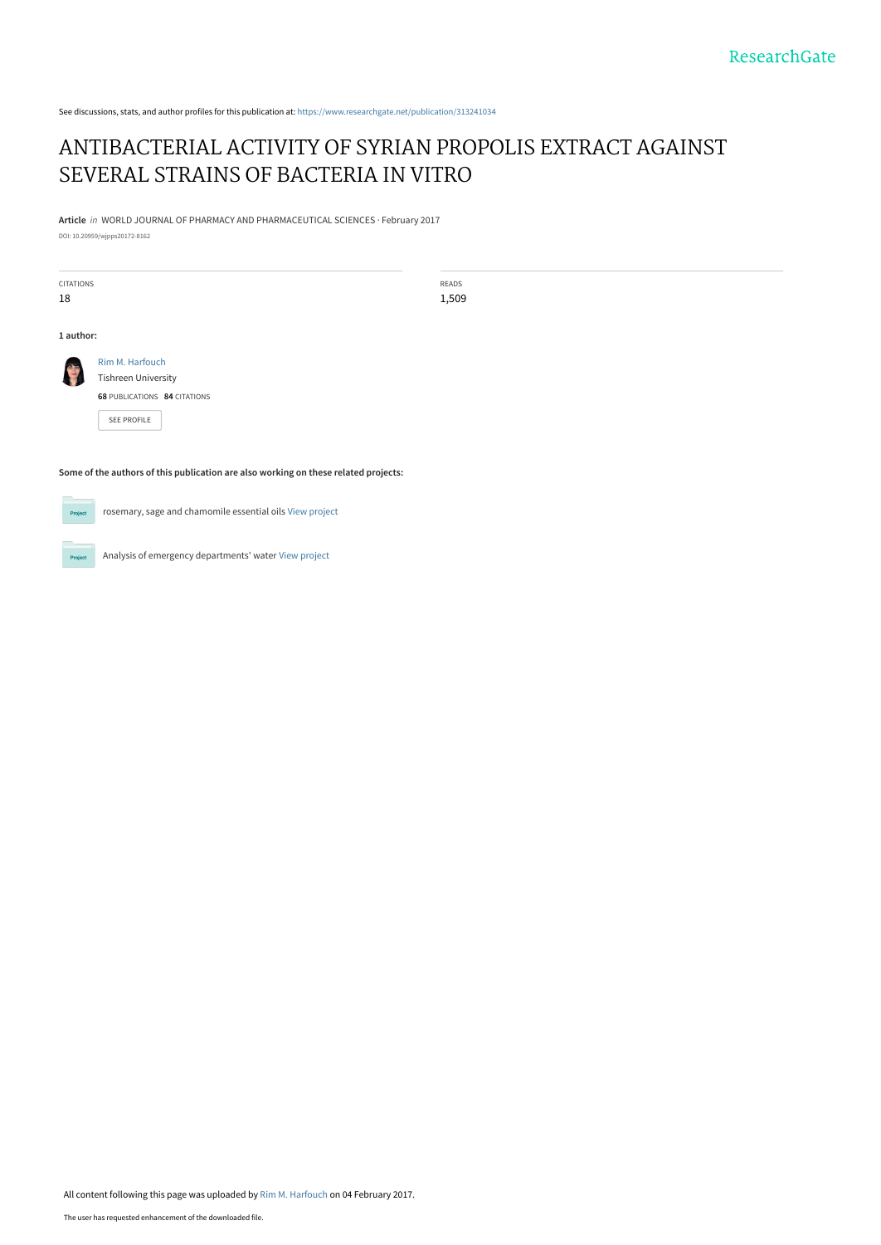See discussions, stats, and author profiles for this publication at: [https://www.researchgate.net/publication/313241034](https://www.researchgate.net/publication/313241034_ANTIBACTERIAL_ACTIVITY_OF_SYRIAN_PROPOLIS_EXTRACT_AGAINST_SEVERAL_STRAINS_OF_BACTERIA_IN_VITRO?enrichId=rgreq-36eea73c39da18f0fb05cf08c21138b8-XXX&enrichSource=Y292ZXJQYWdlOzMxMzI0MTAzNDtBUzo0NTgwMTY3OTAxOTIxMjlAMTQ4NjIxMTEyMDM3MQ%3D%3D&el=1_x_2&_esc=publicationCoverPdf)

## [ANTIBACTERIAL ACTIVITY OF SYRIAN PROPOLIS EXTRACT AGAINST](https://www.researchgate.net/publication/313241034_ANTIBACTERIAL_ACTIVITY_OF_SYRIAN_PROPOLIS_EXTRACT_AGAINST_SEVERAL_STRAINS_OF_BACTERIA_IN_VITRO?enrichId=rgreq-36eea73c39da18f0fb05cf08c21138b8-XXX&enrichSource=Y292ZXJQYWdlOzMxMzI0MTAzNDtBUzo0NTgwMTY3OTAxOTIxMjlAMTQ4NjIxMTEyMDM3MQ%3D%3D&el=1_x_3&_esc=publicationCoverPdf) SEVERAL STRAINS OF BACTERIA IN VITRO

**Article** in WORLD JOURNAL OF PHARMACY AND PHARMACEUTICAL SCIENCES · February 2017 DOI: 10.20959/wjpps20172-8162

CITATIONS 18

READS 1,509

**1 author:**



[SEE PROFILE](https://www.researchgate.net/profile/Rim-Harfouch?enrichId=rgreq-36eea73c39da18f0fb05cf08c21138b8-XXX&enrichSource=Y292ZXJQYWdlOzMxMzI0MTAzNDtBUzo0NTgwMTY3OTAxOTIxMjlAMTQ4NjIxMTEyMDM3MQ%3D%3D&el=1_x_7&_esc=publicationCoverPdf)

**Some of the authors of this publication are also working on these related projects:**

 $Prc$ 

rosemary, sage and chamomile essential oils [View project](https://www.researchgate.net/project/rosemary-sage-and-chamomile-essential-oils?enrichId=rgreq-36eea73c39da18f0fb05cf08c21138b8-XXX&enrichSource=Y292ZXJQYWdlOzMxMzI0MTAzNDtBUzo0NTgwMTY3OTAxOTIxMjlAMTQ4NjIxMTEyMDM3MQ%3D%3D&el=1_x_9&_esc=publicationCoverPdf)

Analysis of emergency departments' water [View project](https://www.researchgate.net/project/Analysis-of-emergency-departments-water?enrichId=rgreq-36eea73c39da18f0fb05cf08c21138b8-XXX&enrichSource=Y292ZXJQYWdlOzMxMzI0MTAzNDtBUzo0NTgwMTY3OTAxOTIxMjlAMTQ4NjIxMTEyMDM3MQ%3D%3D&el=1_x_9&_esc=publicationCoverPdf)

All content following this page was uploaded by [Rim M. Harfouch](https://www.researchgate.net/profile/Rim-Harfouch?enrichId=rgreq-36eea73c39da18f0fb05cf08c21138b8-XXX&enrichSource=Y292ZXJQYWdlOzMxMzI0MTAzNDtBUzo0NTgwMTY3OTAxOTIxMjlAMTQ4NjIxMTEyMDM3MQ%3D%3D&el=1_x_10&_esc=publicationCoverPdf) on 04 February 2017.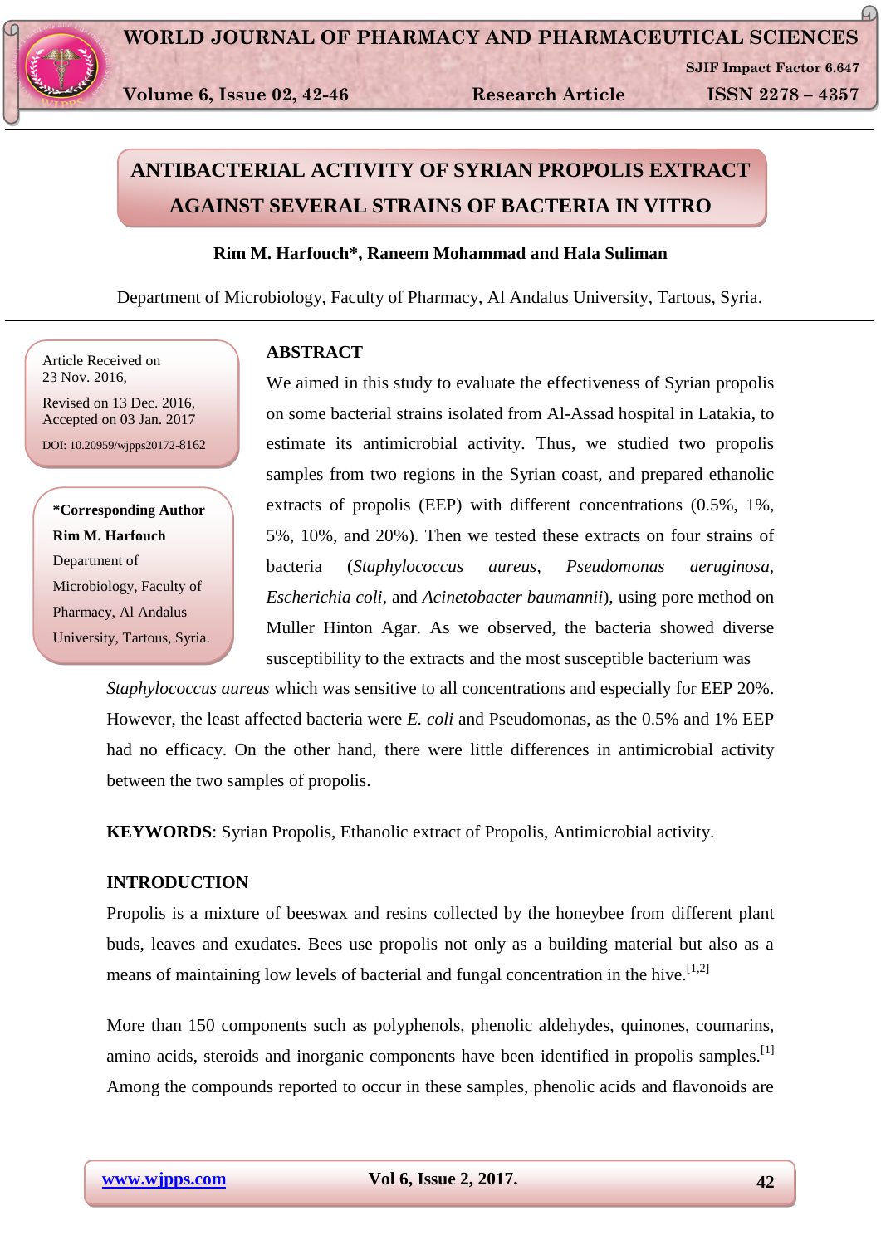

 **Volume 6, Issue 02, 42-46 Research Article ISSN 2278 – 4357**

 **SJIF Impact Factor 6.647**

 $\varpi$ 

# **ANTIBACTERIAL ACTIVITY OF SYRIAN PROPOLIS EXTRACT AGAINST SEVERAL STRAINS OF BACTERIA IN VITRO**

## **Rim M. Harfouch\*, Raneem Mohammad and Hala Suliman**

Department of Microbiology, Faculty of Pharmacy, Al Andalus University, Tartous, Syria.

Article Received on 23 Nov. 2016,

Revised on 13 Dec. 2016, Accepted on 03 Jan. 2017 DOI: 10.20959/wjpps20172-8162

**\*Corresponding Author Rim M. Harfouch** Department of Microbiology, Faculty of Pharmacy, Al Andalus University, Tartous, Syria.

## **ABSTRACT**

We aimed in this study to evaluate the effectiveness of Syrian propolis on some bacterial strains isolated from Al-Assad hospital in Latakia, to estimate its antimicrobial activity. Thus, we studied two propolis samples from two regions in the Syrian coast, and prepared ethanolic extracts of propolis (EEP) with different concentrations (0.5%, 1%, 5%, 10%, and 20%). Then we tested these extracts on four strains of bacteria (*Staphylococcus aureus*, *Pseudomonas aeruginosa*, *Escherichia coli*, and *Acinetobacter baumannii*), using pore method on Muller Hinton Agar. As we observed, the bacteria showed diverse susceptibility to the extracts and the most susceptible bacterium was

*Staphylococcus aureus* which was sensitive to all concentrations and especially for EEP 20%. However, the least affected bacteria were *E. coli* and Pseudomonas, as the 0.5% and 1% EEP had no efficacy. On the other hand, there were little differences in antimicrobial activity between the two samples of propolis.

**KEYWORDS**: Syrian Propolis, Ethanolic extract of Propolis, Antimicrobial activity.

## **INTRODUCTION**

Propolis is a mixture of beeswax and resins collected by the honeybee from different plant buds, leaves and exudates. Bees use propolis not only as a building material but also as a means of maintaining low levels of bacterial and fungal concentration in the hive.  $[1,2]$ 

More than 150 components such as polyphenols, phenolic aldehydes, quinones, coumarins, amino acids, steroids and inorganic components have been identified in propolis samples.<sup>[1]</sup> Among the compounds reported to occur in these samples, phenolic acids and flavonoids are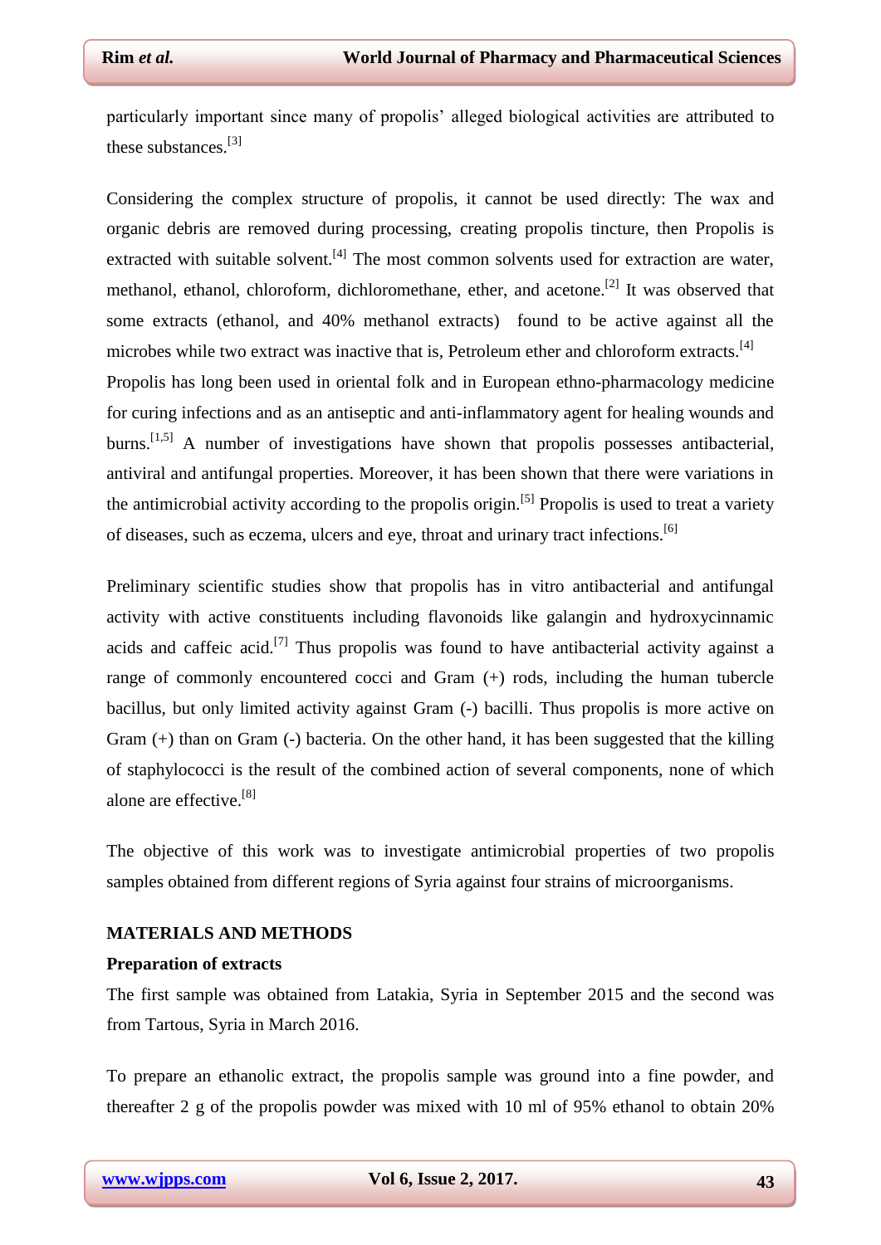particularly important since many of propolis' alleged biological activities are attributed to these substances.[3]

Considering the complex structure of propolis, it cannot be used directly: The wax and organic debris are removed during processing, creating propolis tincture, then Propolis is extracted with suitable solvent.<sup>[4]</sup> The most common solvents used for extraction are water, methanol, ethanol, chloroform, dichloromethane, ether, and acetone.<sup>[2]</sup> It was observed that some extracts (ethanol, and 40% methanol extracts) found to be active against all the microbes while two extract was inactive that is, Petroleum ether and chloroform extracts.<sup>[4]</sup> Propolis has long been used in oriental folk and in European ethno-pharmacology medicine for curing infections and as an antiseptic and anti-inflammatory agent for healing wounds and burns.<sup>[1,5]</sup> A number of investigations have shown that propolis possesses antibacterial, antiviral and antifungal properties. Moreover, it has been shown that there were variations in the antimicrobial activity according to the propolis origin.<sup>[5]</sup> Propolis is used to treat a variety

Preliminary scientific studies show that propolis has in vitro antibacterial and antifungal activity with active constituents including flavonoids like galangin and hydroxycinnamic acids and caffeic acid.<sup>[7]</sup> Thus propolis was found to have antibacterial activity against a range of commonly encountered cocci and Gram (+) rods, including the human tubercle bacillus, but only limited activity against Gram (-) bacilli. Thus propolis is more active on Gram (+) than on Gram (-) bacteria. On the other hand, it has been suggested that the killing of staphylococci is the result of the combined action of several components, none of which alone are effective.<sup>[8]</sup>

of diseases, such as eczema, ulcers and eye, throat and urinary tract infections.[6]

The objective of this work was to investigate antimicrobial properties of two propolis samples obtained from different regions of Syria against four strains of microorganisms.

### **MATERIALS AND METHODS**

#### **Preparation of extracts**

The first sample was obtained from Latakia, Syria in September 2015 and the second was from Tartous, Syria in March 2016.

To prepare an ethanolic extract, the propolis sample was ground into a fine powder, and thereafter 2 g of the propolis powder was mixed with 10 ml of 95% ethanol to obtain 20%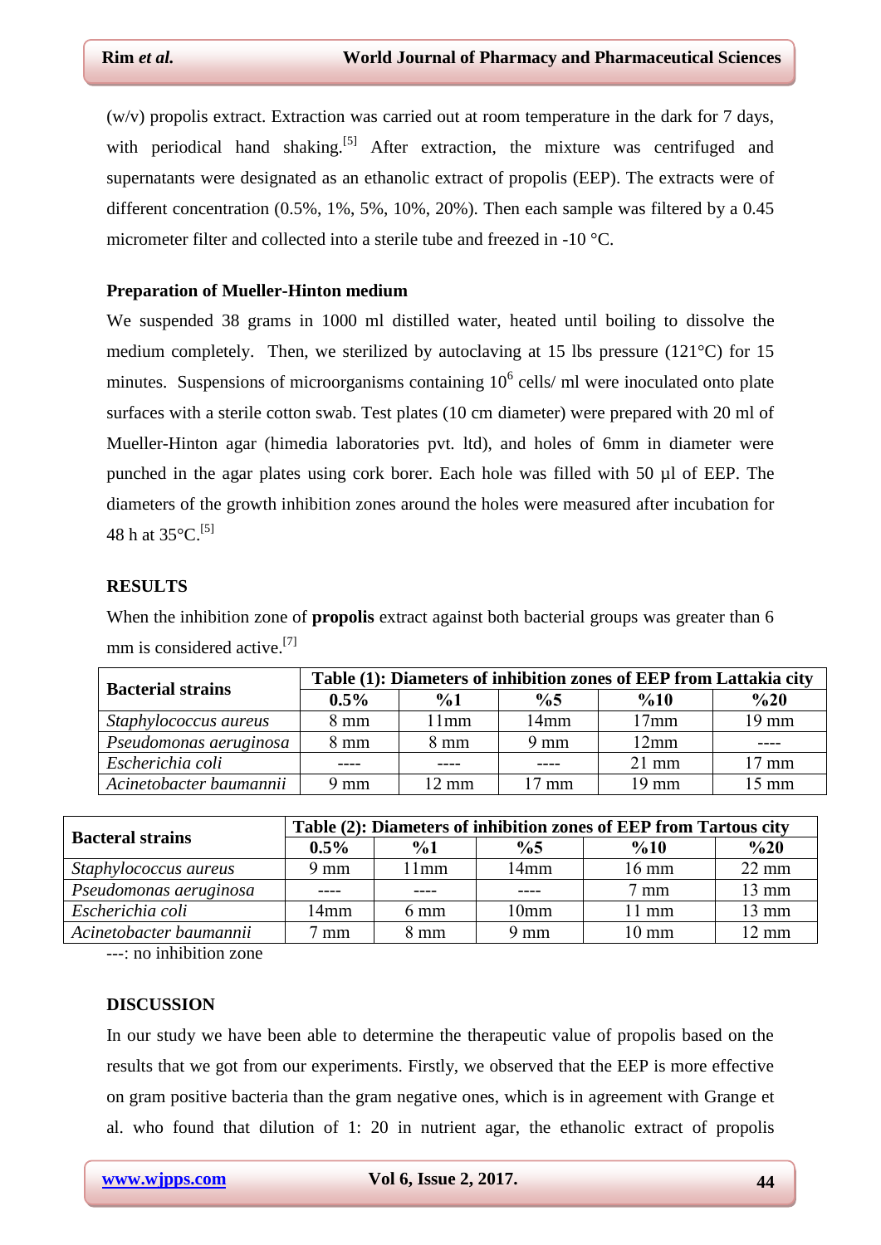(w/v) propolis extract. Extraction was carried out at room temperature in the dark for 7 days, with periodical hand shaking.<sup>[5]</sup> After extraction, the mixture was centrifuged and supernatants were designated as an ethanolic extract of propolis (EEP). The extracts were of different concentration (0.5%, 1%, 5%, 10%, 20%). Then each sample was filtered by a 0.45 micrometer filter and collected into a sterile tube and freezed in -10 °C.

## **Preparation of Mueller-Hinton medium**

We suspended 38 grams in 1000 ml distilled water, heated until boiling to dissolve the medium completely. Then, we sterilized by autoclaving at 15 lbs pressure (121°C) for 15 minutes. Suspensions of microorganisms containing  $10<sup>6</sup>$  cells/ ml were inoculated onto plate surfaces with a sterile cotton swab. Test plates (10 cm diameter) were prepared with 20 ml of Mueller-Hinton agar (himedia laboratories pvt. ltd), and holes of 6mm in diameter were punched in the agar plates using cork borer. Each hole was filled with 50 µl of EEP. The diameters of the growth inhibition zones around the holes were measured after incubation for 48 h at  $35^{\circ}$ C.<sup>[5]</sup>

## **RESULTS**

When the inhibition zone of **propolis** extract against both bacterial groups was greater than 6 mm is considered active.<sup>[7]</sup>

| <b>Bacterial strains</b> | Table (1): Diameters of inhibition zones of EEP from Lattakia city |                 |                 |                  |                 |  |
|--------------------------|--------------------------------------------------------------------|-----------------|-----------------|------------------|-----------------|--|
|                          | $0.5\%$                                                            | $\frac{9}{6}$   | $\%5$           | $\frac{6}{10}$   | $\%20$          |  |
| Staphylococcus aureus    | $8 \text{ mm}$                                                     | 11mm            | 14mm            | 17 <sub>mm</sub> | $19 \text{ mm}$ |  |
| Pseudomonas aeruginosa   | $8 \text{ mm}$                                                     | $8 \text{ mm}$  | $9 \text{ mm}$  | 12mm             |                 |  |
| Escherichia coli         |                                                                    |                 |                 | $21$ mm          | $17 \text{ mm}$ |  |
| Acinetobacter baumannii  | 9 mm                                                               | $12 \text{ mm}$ | $17 \text{ mm}$ | 19 mm            | $15 \text{ mm}$ |  |

| <b>Bacteral strains</b> | Table (2): Diameters of inhibition zones of EEP from Tartous city |                |                  |                 |                 |  |
|-------------------------|-------------------------------------------------------------------|----------------|------------------|-----------------|-----------------|--|
|                         | $0.5\%$                                                           | $\frac{9}{6}$  | $\frac{0}{6}$    | %10             | %20             |  |
| Staphylococcus aureus   | $9 \text{ mm}$                                                    | l 1mm          | 14mm             | $16 \text{ mm}$ | $22 \text{ mm}$ |  |
| Pseudomonas aeruginosa  | -----                                                             |                |                  | $7 \text{ mm}$  | $13 \text{ mm}$ |  |
| Escherichia coli        | 14mm                                                              | $6 \text{ mm}$ | 10 <sub>mm</sub> | $11 \text{ mm}$ | 13 mm           |  |
| Acinetobacter baumannii | mm                                                                | $8 \text{ mm}$ | 9 mm             | $10 \text{ mm}$ | $12 \text{ mm}$ |  |

---: no inhibition zone

#### **DISCUSSION**

In our study we have been able to determine the therapeutic value of propolis based on the results that we got from our experiments. Firstly, we observed that the EEP is more effective on gram positive bacteria than the gram negative ones, which is in agreement with Grange et al. who found that dilution of 1: 20 in nutrient agar, the ethanolic extract of propolis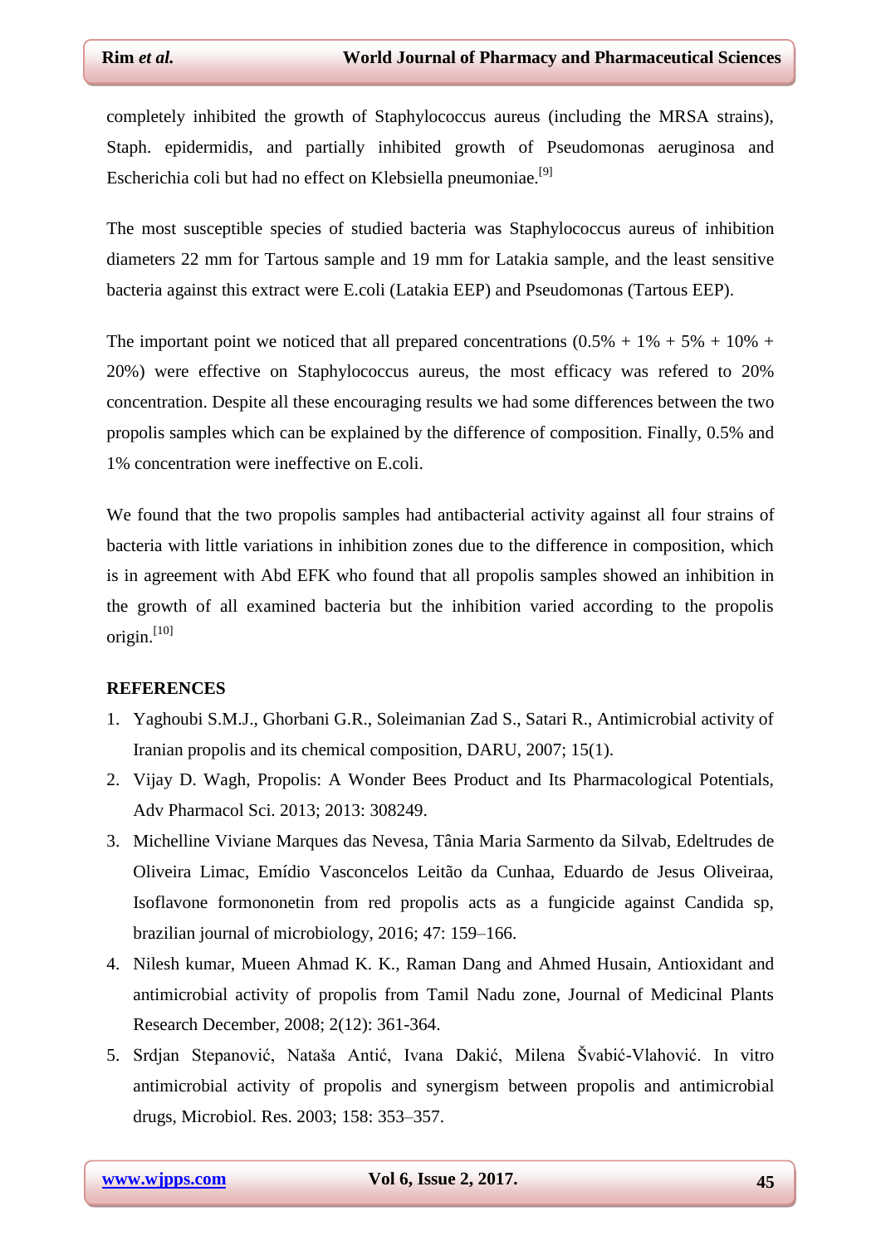completely inhibited the growth of Staphylococcus aureus (including the MRSA strains), Staph. epidermidis, and partially inhibited growth of Pseudomonas aeruginosa and Escherichia coli but had no effect on Klebsiella pneumoniae.[9]

The most susceptible species of studied bacteria was Staphylococcus aureus of inhibition diameters 22 mm for Tartous sample and 19 mm for Latakia sample, and the least sensitive bacteria against this extract were E.coli (Latakia EEP) and Pseudomonas (Tartous EEP).

The important point we noticed that all prepared concentrations  $(0.5% + 1% + 5% + 10% + 1)$ 20%) were effective on Staphylococcus aureus, the most efficacy was refered to 20% concentration. Despite all these encouraging results we had some differences between the two propolis samples which can be explained by the difference of composition. Finally, 0.5% and 1% concentration were ineffective on E.coli.

We found that the two propolis samples had antibacterial activity against all four strains of bacteria with little variations in inhibition zones due to the difference in composition, which is in agreement with Abd EFK who found that all propolis samples showed an inhibition in the growth of all examined bacteria but the inhibition varied according to the propolis origin.<sup>[10]</sup>

#### **REFERENCES**

- 1. Yaghoubi S.M.J., Ghorbani G.R., Soleimanian Zad S., Satari R., Antimicrobial activity of Iranian propolis and its chemical composition, DARU, 2007; 15(1).
- 2. Vijay D. Wagh, Propolis: A Wonder Bees Product and Its Pharmacological Potentials, Adv Pharmacol Sci. 2013; 2013: 308249.
- 3. Michelline Viviane Marques das Nevesa, Tânia Maria Sarmento da Silvab, Edeltrudes de Oliveira Limac, Emídio Vasconcelos Leitão da Cunhaa, Eduardo de Jesus Oliveiraa, Isoflavone formononetin from red propolis acts as a fungicide against Candida sp, brazilian journal of microbiology, 2016; 47: 159–166.
- 4. Nilesh kumar, Mueen Ahmad K. K., Raman Dang and Ahmed Husain, Antioxidant and antimicrobial activity of propolis from Tamil Nadu zone, Journal of Medicinal Plants Research December, 2008; 2(12): 361-364.
- 5. Srdjan Stepanović, Nataša Antić, Ivana Dakić, Milena Švabić-Vlahović. In vitro antimicrobial activity of propolis and synergism between propolis and antimicrobial drugs, Microbiol. Res. 2003; 158: 353–357.